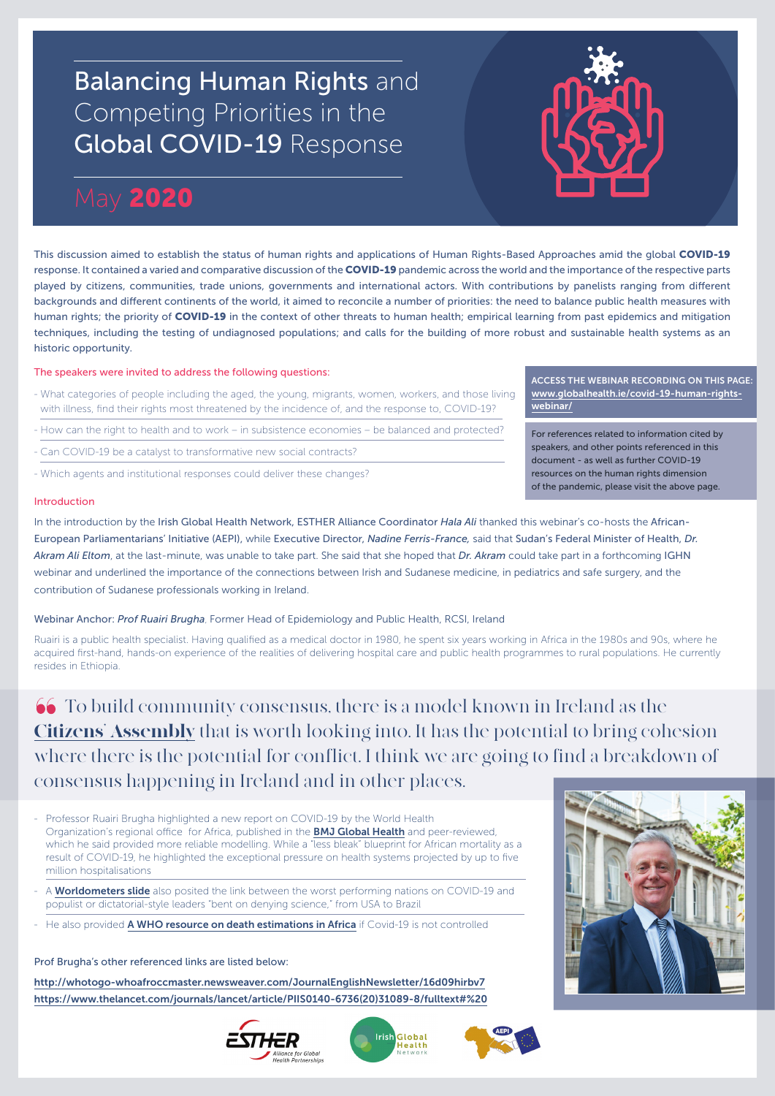# Balancing Human Rights and Competing Priorities in the Global COVID-19 Response

## May 2020

This discussion aimed to establish the status of human rights and applications of Human Rights-Based Approaches amid the global COVID-19 response. It contained a varied and comparative discussion of the COVID-19 pandemic across the world and the importance of the respective parts played by citizens, communities, trade unions, governments and international actors. With contributions by panelists ranging from different backgrounds and different continents of the world, it aimed to reconcile a number of priorities: the need to balance public health measures with human rights; the priority of COVID-19 in the context of other threats to human health; empirical learning from past epidemics and mitigation techniques, including the testing of undiagnosed populations; and calls for the building of more robust and sustainable health systems as an historic opportunity.

The speakers were invited to address the following questions:

- What categories of people including the aged, the young, migrants, women, workers, and those living with illness, find their rights most threatened by the incidence of, and the response to, COVID-19?
- How can the right to health and to work in subsistence economies be balanced and protected?
- Can COVID-19 be a catalyst to transformative new social contracts?
- Which agents and institutional responses could deliver these changes?

### Introduction

In the introduction by the Irish Global Health Network, ESTHER Alliance Coordinator *Hala Ali* thanked this webinar's co-hosts the African-European Parliamentarians' Initiative (AEPI), while Executive Director, *Nadine Ferris-France,* said that Sudan's Federal Minister of Health, *Dr. Akram Ali Eltom*, at the last-minute, was unable to take part. She said that she hoped that *Dr. Akram* could take part in a forthcoming IGHN webinar and underlined the importance of the connections between Irish and Sudanese medicine, in pediatrics and safe surgery, and the contribution of Sudanese professionals working in Ireland.

Webinar Anchor: *Prof Ruairi Brugha*, Former Head of Epidemiology and Public Health, RCSI, Ireland

Ruairi is a public health specialist. Having qualified as a medical doctor in 1980, he spent six years working in Africa in the 1980s and 90s, where he acquired first-hand, hands-on experience of the realities of delivering hospital care and public health programmes to rural populations. He currently resides in Ethiopia.

 To build community consensus, there is a model known in Ireland as the Citizens' Assembly that is worth looking into. It has the potential to bring cohesion where there is the potential for conflict. I think we are going to find a breakdown of consensus happening in Ireland and in other places.

- Professor Ruairi Brugha highlighted a new report on COVID-19 by the World Health Organization's regional office for Africa, published in the **BMJ Global Health** and peer-reviewed, which he said provided more reliable modelling. While a "less bleak" blueprint for African mortality as a result of COVID-19, he highlighted the exceptional pressure on health systems projected by up to five million hospitalisations
- A Worldometers slide also posited the link between the worst performing nations on COVID-19 and populist or dictatorial-style leaders "bent on denying science," from USA to Brazil
- He also provided A WHO resource on death estimations in Africa if Covid-19 is not controlled

Prof Brugha's other referenced links are listed below:

http://whotogo-whoafroccmaster.newsweaver.com/JournalEnglishNewsletter/16d09hirbv7 https://www.thelancet.com/journals/lancet/article/PIIS0140-6736(20)31089-8/fulltext#%20









ACCESS THE WEBINAR RECORDING ON THIS PAGE: www.globalhealth.ie/covid-19-human-rightswebinar/

For references related to information cited by speakers, and other points referenced in this document - as well as further COVID-19 resources on the human rights dimension of the pandemic, please visit the above page.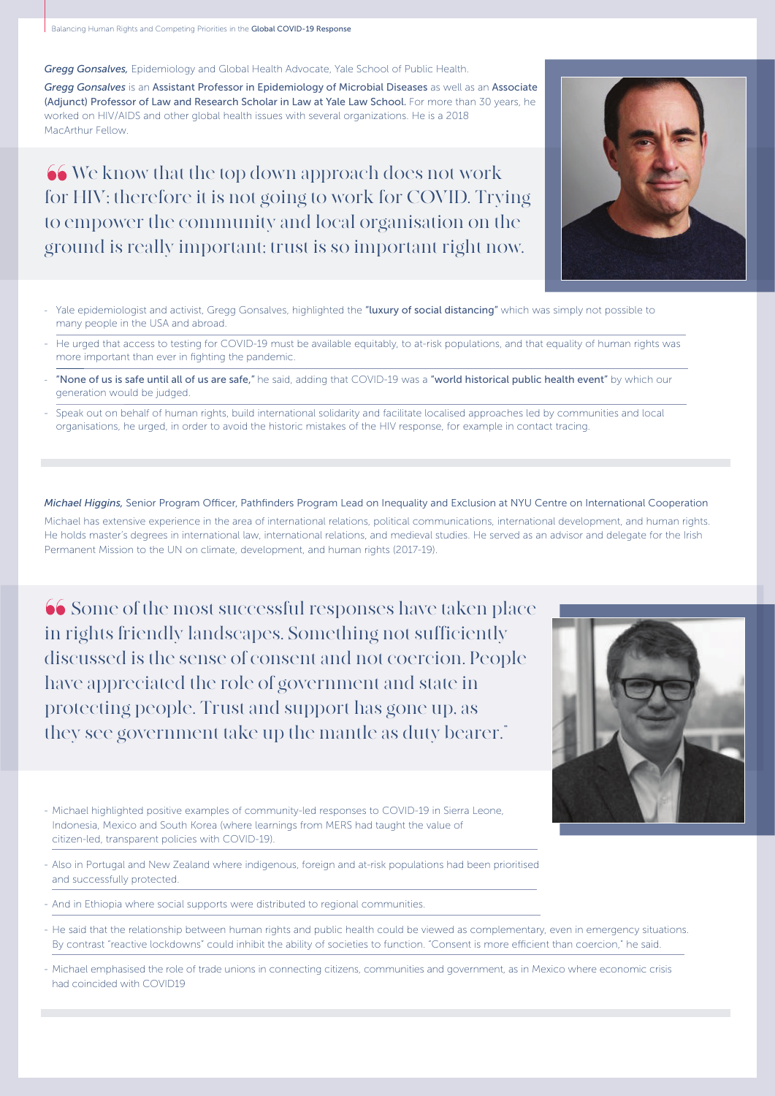Balancing Human Rights and Competing Priorities in the Global COVID-19 Response

*Gregg Gonsalves,* Epidemiology and Global Health Advocate, Yale School of Public Health.

*Gregg Gonsalves* is an Assistant Professor in Epidemiology of Microbial Diseases as well as an Associate (Adjunct) Professor of Law and Research Scholar in Law at Yale Law School. For more than 30 years, he worked on HIV/AIDS and other global health issues with several organizations. He is a 2018 MacArthur Fellow.

66 We know that the top down approach does not work for HIV; therefore it is not going to work for COVID. Trying to empower the community and local organisation on the ground is really important; trust is so important right now.

- Yale epidemiologist and activist, Gregg Gonsalves, highlighted the "luxury of social distancing" which was simply not possible to many people in the USA and abroad.
- He urged that access to testing for COVID-19 must be available equitably, to at-risk populations, and that equality of human rights was more important than ever in fighting the pandemic.
- "None of us is safe until all of us are safe," he said, adding that COVID-19 was a "world historical public health event" by which our generation would be judged.
- Speak out on behalf of human rights, build international solidarity and facilitate localised approaches led by communities and local organisations, he urged, in order to avoid the historic mistakes of the HIV response, for example in contact tracing.

#### *Michael Higgins,* Senior Program Officer, Pathfinders Program Lead on Inequality and Exclusion at NYU Centre on International Cooperation

Michael has extensive experience in the area of international relations, political communications, international development, and human rights. He holds master's degrees in international law, international relations, and medieval studies. He served as an advisor and delegate for the Irish Permanent Mission to the UN on climate, development, and human rights (2017-19).

 Some of the most successful responses have taken place in rights friendly landscapes. Something not sufficiently discussed is the sense of consent and not coercion. People have appreciated the role of government and state in protecting people. Trust and support has gone up, as they see government take up the mantle as duty bearer."



- Michael highlighted positive examples of community-led responses to COVID-19 in Sierra Leone, Indonesia, Mexico and South Korea (where learnings from MERS had taught the value of citizen-led, transparent policies with COVID-19).

- Also in Portugal and New Zealand where indigenous, foreign and at-risk populations had been prioritised and successfully protected.
- And in Ethiopia where social supports were distributed to regional communities.
- He said that the relationship between human rights and public health could be viewed as complementary, even in emergency situations. By contrast "reactive lockdowns" could inhibit the ability of societies to function. "Consent is more efficient than coercion," he said.
- Michael emphasised the role of trade unions in connecting citizens, communities and government, as in Mexico where economic crisis had coincided with COVID19